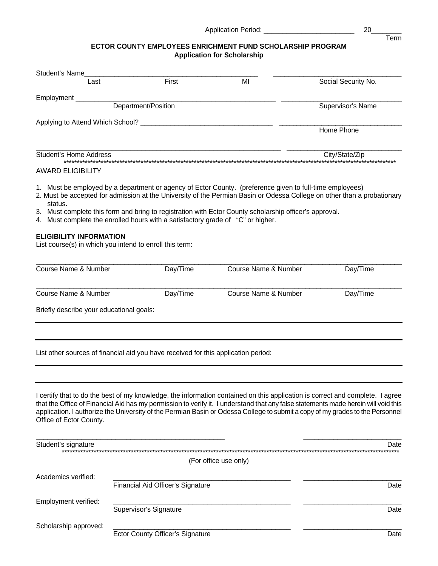Application Period: <br>
20

Term

## **ECTOR COUNTY EMPLOYEES ENRICHMENT FUND SCHOLARSHIP PROGRAM Application for Scholarship**

| Student's Name |                                                                                                          |                |                   |                     |  |  |  |
|----------------|----------------------------------------------------------------------------------------------------------|----------------|-------------------|---------------------|--|--|--|
|                | Last                                                                                                     | First          | MI                | Social Security No. |  |  |  |
| Employment     |                                                                                                          |                |                   |                     |  |  |  |
|                | Department/Position                                                                                      |                | Supervisor's Name |                     |  |  |  |
|                | Applying to Attend Which School? __________                                                              |                |                   |                     |  |  |  |
|                |                                                                                                          |                |                   | Home Phone          |  |  |  |
|                | Student's Home Address                                                                                   | City/State/Zip |                   |                     |  |  |  |
|                | <b>AWARD ELIGIBILITY</b>                                                                                 |                |                   |                     |  |  |  |
|                | 1. Must be employed by a department or agency of Ector County. (preference given to full-time employees) |                |                   |                     |  |  |  |

- 2. Must be accepted for admission at the University of the Permian Basin or Odessa College on other than a probationary status.
- 3. Must complete this form and bring to registration with Ector County scholarship officer's approval.
- 4. Must complete the enrolled hours with a satisfactory grade of "C" or higher.

## **ELIGIBILITY INFORMATION**

List course(s) in which you intend to enroll this term:

| Course Name & Number                     | Day/Time | Course Name & Number | Day/Time |  |  |
|------------------------------------------|----------|----------------------|----------|--|--|
| Course Name & Number                     | Day/Time | Course Name & Number | Day/Time |  |  |
| Briefly describe your educational goals: |          |                      |          |  |  |

List other sources of financial aid you have received for this application period:

I certify that to do the best of my knowledge, the information contained on this application is correct and complete. I agree that the Office of Financial Aid has my permission to verify it. I understand that any false statements made herein will void this application. I authorize the University of the Permian Basin or Odessa College to submit a copy of my grades to the Personnel Office of Ector County.

| Student's signature   |                                                              | Date |
|-----------------------|--------------------------------------------------------------|------|
|                       | ***********************************<br>(For office use only) |      |
| Academics verified:   | Financial Aid Officer's Signature                            | Date |
| Employment verified:  | Supervisor's Signature                                       | Date |
| Scholarship approved: | Ector County Officer's Signature                             | Date |